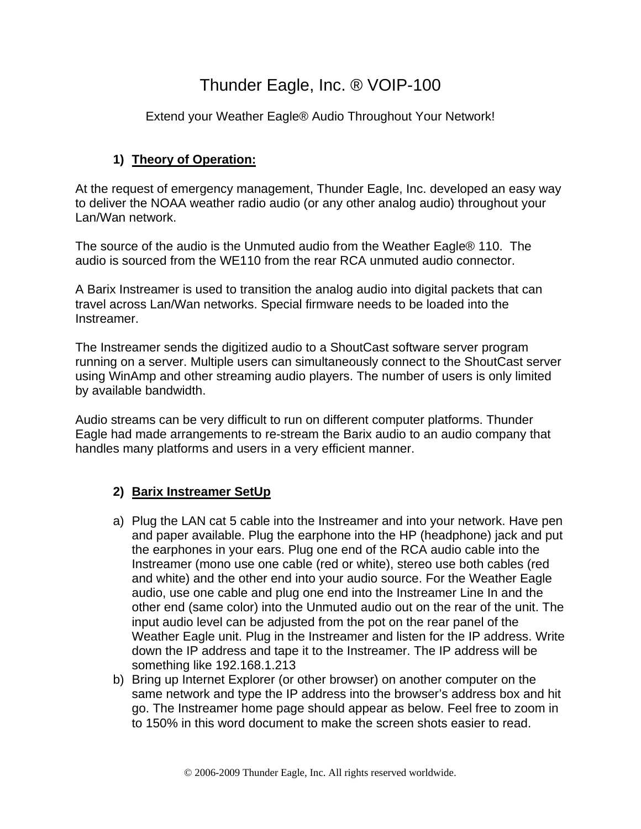# Thunder Eagle, Inc. ® VOIP-100

### Extend your Weather Eagle® Audio Throughout Your Network!

## **1) Theory of Operation:**

At the request of emergency management, Thunder Eagle, Inc. developed an easy way to deliver the NOAA weather radio audio (or any other analog audio) throughout your Lan/Wan network.

The source of the audio is the Unmuted audio from the Weather Eagle® 110. The audio is sourced from the WE110 from the rear RCA unmuted audio connector.

A Barix Instreamer is used to transition the analog audio into digital packets that can travel across Lan/Wan networks. Special firmware needs to be loaded into the Instreamer.

The Instreamer sends the digitized audio to a ShoutCast software server program running on a server. Multiple users can simultaneously connect to the ShoutCast server using WinAmp and other streaming audio players. The number of users is only limited by available bandwidth.

Audio streams can be very difficult to run on different computer platforms. Thunder Eagle had made arrangements to re-stream the Barix audio to an audio company that handles many platforms and users in a very efficient manner.

### **2) Barix Instreamer SetUp**

- a) Plug the LAN cat 5 cable into the Instreamer and into your network. Have pen and paper available. Plug the earphone into the HP (headphone) jack and put the earphones in your ears. Plug one end of the RCA audio cable into the Instreamer (mono use one cable (red or white), stereo use both cables (red and white) and the other end into your audio source. For the Weather Eagle audio, use one cable and plug one end into the Instreamer Line In and the other end (same color) into the Unmuted audio out on the rear of the unit. The input audio level can be adjusted from the pot on the rear panel of the Weather Eagle unit. Plug in the Instreamer and listen for the IP address. Write down the IP address and tape it to the Instreamer. The IP address will be something like 192.168.1.213
- b) Bring up Internet Explorer (or other browser) on another computer on the same network and type the IP address into the browser's address box and hit go. The Instreamer home page should appear as below. Feel free to zoom in to 150% in this word document to make the screen shots easier to read.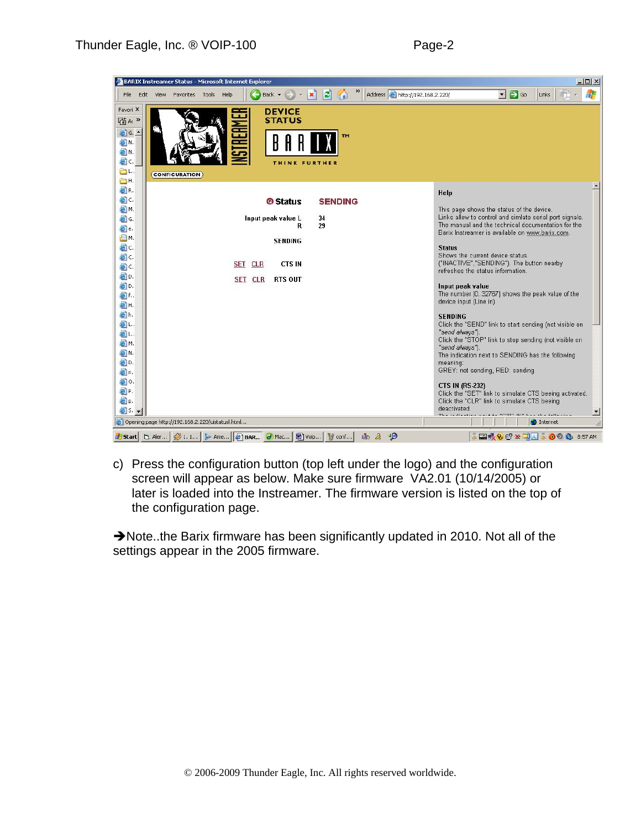

c) Press the configuration button (top left under the logo) and the configuration screen will appear as below. Make sure firmware VA2.01 (10/14/2005) or later is loaded into the Instreamer. The firmware version is listed on the top of the configuration page.

 $\rightarrow$  Note..the Barix firmware has been significantly updated in 2010. Not all of the settings appear in the 2005 firmware.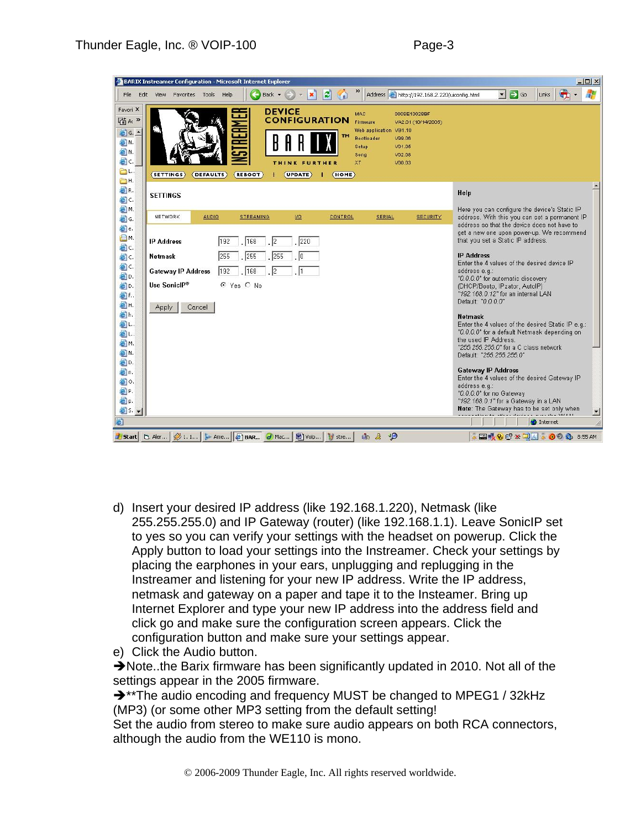

- d) Insert your desired IP address (like 192.168.1.220), Netmask (like 255.255.255.0) and IP Gateway (router) (like 192.168.1.1). Leave SonicIP set to yes so you can verify your settings with the headset on powerup. Click the Apply button to load your settings into the Instreamer. Check your settings by placing the earphones in your ears, unplugging and replugging in the Instreamer and listening for your new IP address. Write the IP address, netmask and gateway on a paper and tape it to the Insteamer. Bring up Internet Explorer and type your new IP address into the address field and click go and make sure the configuration screen appears. Click the configuration button and make sure your settings appear.
- e) Click the Audio button.

 $\rightarrow$  Note..the Barix firmware has been significantly updated in 2010. Not all of the settings appear in the 2005 firmware.

 $\rightarrow$ \*\*The audio encoding and frequency MUST be changed to MPEG1 / 32kHz (MP3) (or some other MP3 setting from the default setting!

Set the audio from stereo to make sure audio appears on both RCA connectors, although the audio from the WE110 is mono.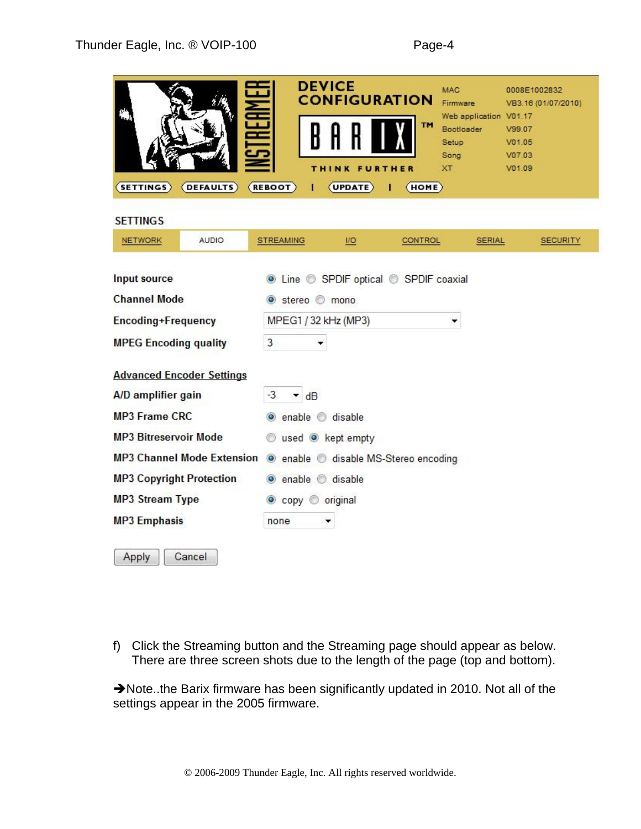| <b>SETTINGS</b><br><b>DEFAULTS</b>                                                                                             | <b>DEVICE</b><br><b>CONFIGURATION</b><br>TM<br>THINK FURTHER<br>(REBOOT)<br>(UPDATE)<br>(HOME)                      | <b>MAC</b><br>0008E1002832<br>Firmware<br>VB3.16 (01/07/2010)<br>Web application V01.17<br>Bootloader<br>V99.07<br>Setup<br>V01.05<br>V07.03<br>Song<br>XT<br>V01.09 |
|--------------------------------------------------------------------------------------------------------------------------------|---------------------------------------------------------------------------------------------------------------------|----------------------------------------------------------------------------------------------------------------------------------------------------------------------|
| <b>SETTINGS</b>                                                                                                                |                                                                                                                     |                                                                                                                                                                      |
| <b>NETWORK</b><br><b>AUDIO</b>                                                                                                 | <b>STREAMING</b><br>$\overline{1/O}$<br><b>CONTROL</b>                                                              | <b>SERIAL</b><br><b>SECURITY</b>                                                                                                                                     |
| Input source<br><b>Channel Mode</b><br>Encoding+Frequency<br><b>MPEG Encoding quality</b>                                      | <b>O</b> Line C SPDIF optical C SPDIF coaxial<br>● stereo ● mono<br>MPEG1 / 32 kHz (MP3)<br>3                       | ▼                                                                                                                                                                    |
| <b>Advanced Encoder Settings</b><br>A/D amplifier gain<br><b>MP3 Frame CRC</b>                                                 | $-3$<br>$\blacktriangledown$ dB<br>enable disable<br>⊙                                                              |                                                                                                                                                                      |
| <b>MP3 Bitreservoir Mode</b><br><b>MP3 Channel Mode Extension</b><br><b>MP3 Copyright Protection</b><br><b>MP3 Stream Type</b> | used <sup>o</sup> kept empty<br>● enable ● disable MS-Stereo encoding<br>enable disable<br>$\odot$<br>Copy original |                                                                                                                                                                      |
| <b>MP3 Emphasis</b><br>Cancel<br>Apply                                                                                         | none                                                                                                                |                                                                                                                                                                      |

f) Click the Streaming button and the Streaming page should appear as below. There are three screen shots due to the length of the page (top and bottom).

A Note..the Barix firmware has been significantly updated in 2010. Not all of the settings appear in the 2005 firmware.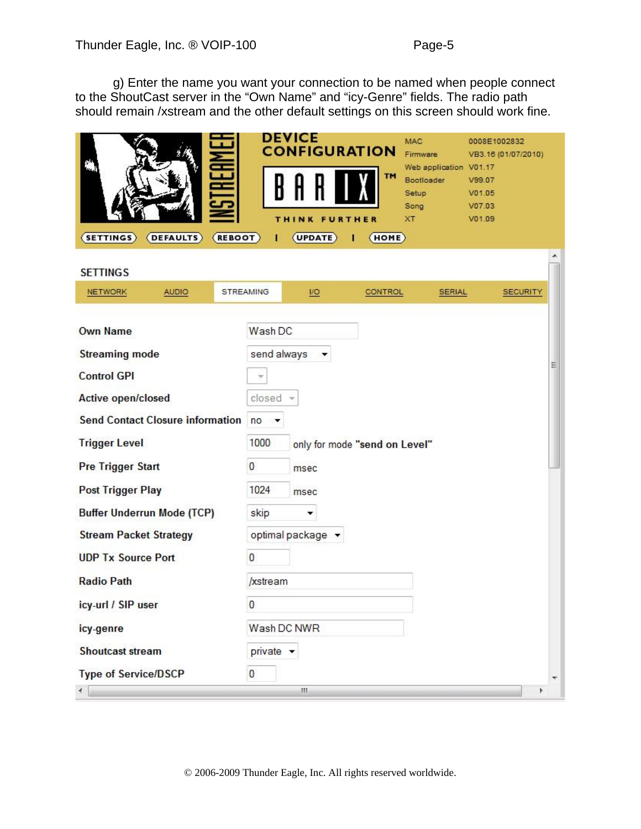g) Enter the name you want your connection to be named when people connect to the ShoutCast server in the "Own Name" and "icy-Genre" fields. The radio path should remain /xstream and the other default settings on this screen should work fine.

| <b>SETTINGS</b><br><b>DEFAULTS</b><br>(REBOOT) | <b>DEVICE</b>    | <b>CONFIGURATION</b><br>THINK FURTHER<br>(UPDATE) | TM<br>HOME)    | <b>MAC</b><br>Firmware<br>Web application V01.17<br>Bootloader<br>Setup<br>Song<br>XT | 0008E1002832<br>VB3.16 (01/07/2010)<br>V99.07<br>V01.05<br>V07.03<br>V01.09 |   |  |  |
|------------------------------------------------|------------------|---------------------------------------------------|----------------|---------------------------------------------------------------------------------------|-----------------------------------------------------------------------------|---|--|--|
| <b>SETTINGS</b>                                |                  |                                                   |                |                                                                                       |                                                                             |   |  |  |
| <b>NETWORK</b><br><b>AUDIO</b>                 | <b>STREAMING</b> | $\underline{\mathsf{NO}}$                         | <b>CONTROL</b> | <b>SERIAL</b>                                                                         | <b>SECURITY</b>                                                             |   |  |  |
| <b>Own Name</b>                                | Wash DC          |                                                   |                |                                                                                       |                                                                             |   |  |  |
| <b>Streaming mode</b>                          | send always      |                                                   |                |                                                                                       |                                                                             | E |  |  |
| <b>Control GPI</b>                             | ×                |                                                   |                |                                                                                       |                                                                             |   |  |  |
| <b>Active open/closed</b>                      | closed           |                                                   |                |                                                                                       |                                                                             |   |  |  |
| <b>Send Contact Closure information</b>        | no               |                                                   |                |                                                                                       |                                                                             |   |  |  |
| <b>Trigger Level</b>                           | 1000             | only for mode "send on Level"                     |                |                                                                                       |                                                                             |   |  |  |
| <b>Pre Trigger Start</b>                       | $\bf{0}$         | msec                                              |                |                                                                                       |                                                                             |   |  |  |
| <b>Post Trigger Play</b>                       | 1024             | msec                                              |                |                                                                                       |                                                                             |   |  |  |
| <b>Buffer Underrun Mode (TCP)</b>              | skip             | ▼                                                 |                |                                                                                       |                                                                             |   |  |  |
| <b>Stream Packet Strategy</b>                  |                  | optimal package v                                 |                |                                                                                       |                                                                             |   |  |  |
| <b>UDP Tx Source Port</b>                      | 0                |                                                   |                |                                                                                       |                                                                             |   |  |  |
| <b>Radio Path</b>                              | /xstream         |                                                   |                |                                                                                       |                                                                             |   |  |  |
| icy-url / SIP user                             | 0                |                                                   |                |                                                                                       |                                                                             |   |  |  |
| icy-genre                                      | Wash DC NWR      |                                                   |                |                                                                                       |                                                                             |   |  |  |
| <b>Shoutcast stream</b>                        | private -        |                                                   |                |                                                                                       |                                                                             |   |  |  |
| <b>Type of Service/DSCP</b>                    | 0                |                                                   |                |                                                                                       |                                                                             |   |  |  |
|                                                |                  | m.                                                |                |                                                                                       |                                                                             | Þ |  |  |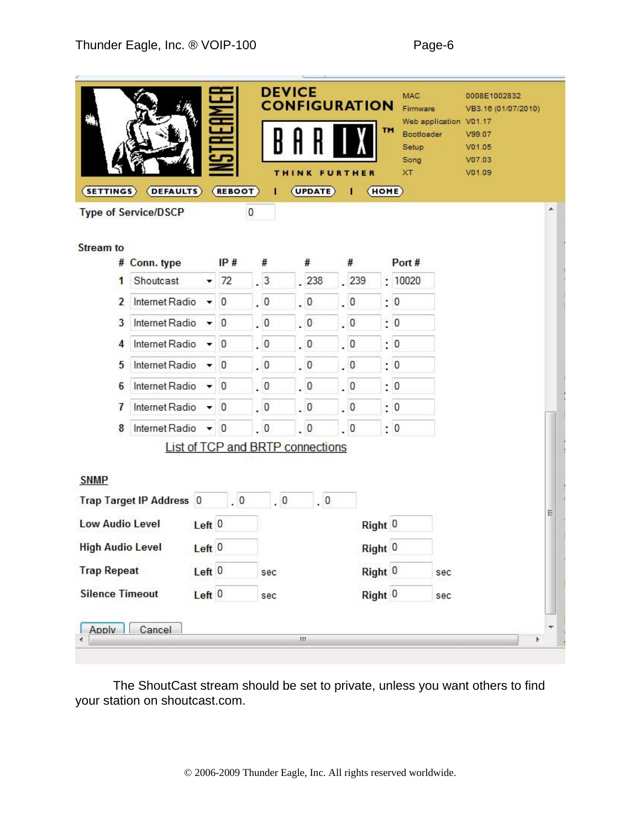|                        |                                                    | <b>NEBH</b>       |                      |                      | <b>DEVICE</b> |  |               | <b>CONFIGURATION</b> |    | <b>MAC</b><br>Firmware<br>Web application V01.17 | 0008E1002832<br>VB3.16 (01/07/2010) |   |
|------------------------|----------------------------------------------------|-------------------|----------------------|----------------------|---------------|--|---------------|----------------------|----|--------------------------------------------------|-------------------------------------|---|
|                        |                                                    |                   |                      |                      |               |  |               |                      | TM | Bootloader                                       | V99.07                              |   |
|                        |                                                    |                   |                      |                      |               |  |               |                      |    | Setup                                            | V01.05                              |   |
|                        |                                                    |                   |                      |                      |               |  |               |                      |    | Song                                             | V07.03                              |   |
|                        |                                                    |                   |                      |                      |               |  | THINK FURTHER |                      |    | <b>XT</b>                                        | V01.09                              |   |
|                        | SETTINGS (DEFAULTS)<br><b>Type of Service/DSCP</b> |                   | (REBOOT)<br>$\bf{0}$ |                      |               |  | (UPDATE)      | (HOME)<br>п          |    |                                                  |                                     | ۸ |
| <b>Stream to</b>       |                                                    |                   |                      |                      |               |  |               |                      |    |                                                  |                                     |   |
|                        | # Conn. type                                       |                   | IP#                  | #                    |               |  | #             | #                    |    | Port #                                           |                                     |   |
| 1                      | Shoutcast                                          | $-72$             |                      | $\cdot$ <sub>3</sub> |               |  | . 238         | .239                 |    | : 10020                                          |                                     |   |
| 2                      | Internet Radio $\blacktriangleright$ 0             |                   |                      | $\cdot$ 0            |               |  | $\cdot$ 0     | $\cdot$ 0            |    | $\colon$ 0                                       |                                     |   |
| 3                      | Internet Radio $\blacktriangleright$ 0             |                   |                      | $\cdot$ 0            |               |  | $\cdot$ 0     | $\cdot$ 0            |    | $\frac{1}{2}$ 0                                  |                                     |   |
| 4                      | Internet Radio $\rightarrow$ 0                     |                   |                      | $\cdot$ 0            |               |  | $\cdot$ 0     | $\cdot$ 0            |    | $\cdot 0$                                        |                                     |   |
| 5                      | Internet Radio v 0                                 |                   |                      | $\cdot$ 0            |               |  | $\cdot$ 0     | $\cdot$ 0            |    | $\frac{1}{2}$ 0                                  |                                     |   |
| 6                      | Internet Radio $\blacktriangleright$ 0             |                   |                      | $\cdot$ 0            |               |  | $\cdot$ 0     | $\cdot$ 0            |    | $\frac{1}{2}$ 0                                  |                                     |   |
| $\overline{1}$         | Internet Radio $\blacktriangleright$ 0             |                   |                      | $\cdot$ 0            |               |  | $\cdot$ 0     | $\cdot$ 0            |    | $\frac{1}{2}$ 0                                  |                                     |   |
| 8                      | Internet Radio $\rightarrow$ 0                     |                   |                      | $\cdot$ 0            |               |  | $\cdot$ 0     | $\cdot$ 0            |    | $\cdot 0$                                        |                                     |   |
|                        | List of TCP and BRTP connections                   |                   |                      |                      |               |  |               |                      |    |                                                  |                                     |   |
| <b>SNMP</b>            |                                                    |                   |                      |                      |               |  |               |                      |    |                                                  |                                     |   |
|                        | <b>Trap Target IP Address 0</b>                    |                   | $\overline{0}$       |                      | $\cdot$ 0     |  | $\cdot$ 0     |                      |    |                                                  |                                     | Ę |
| <b>Low Audio Level</b> |                                                    | Left <sub>0</sub> |                      |                      |               |  |               | Right <sup>0</sup>   |    |                                                  |                                     |   |
|                        | High Audio Level Left 0                            |                   |                      |                      |               |  |               | Right <sup>0</sup>   |    |                                                  |                                     |   |
| <b>Trap Repeat</b>     |                                                    | Left <sub>0</sub> |                      |                      | sec           |  |               | Right <sup>0</sup>   |    | sec                                              |                                     |   |
| <b>Silence Timeout</b> |                                                    | Left <sub>0</sub> |                      |                      | sec           |  |               | Right <sup>0</sup>   |    | sec                                              |                                     |   |
|                        |                                                    |                   |                      |                      |               |  |               |                      |    |                                                  |                                     |   |
| Apply                  | Cancel                                             |                   |                      |                      |               |  | m.            |                      |    |                                                  | r                                   |   |

The ShoutCast stream should be set to private, unless you want others to find your station on shoutcast.com.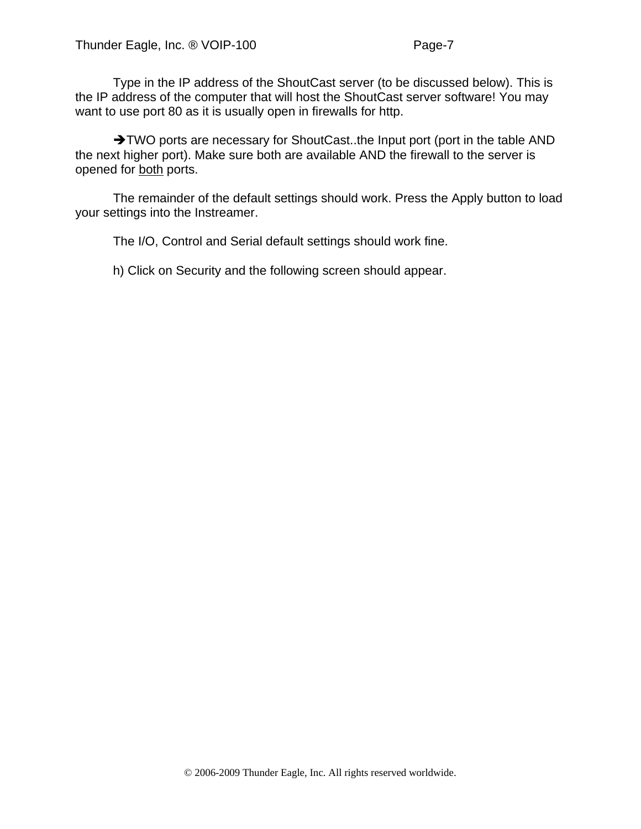Type in the IP address of the ShoutCast server (to be discussed below). This is the IP address of the computer that will host the ShoutCast server software! You may want to use port 80 as it is usually open in firewalls for http.

 $\rightarrow$  TWO ports are necessary for ShoutCast..the Input port (port in the table AND the next higher port). Make sure both are available AND the firewall to the server is opened for both ports.

 The remainder of the default settings should work. Press the Apply button to load your settings into the Instreamer.

The I/O, Control and Serial default settings should work fine.

h) Click on Security and the following screen should appear.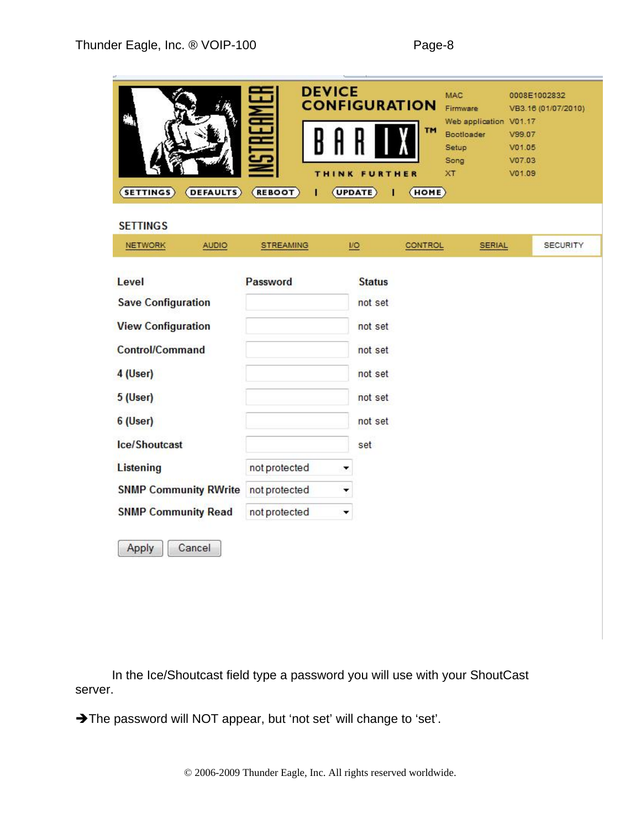|                                    | ISTREAMER        | <b>DEVICE</b> | <b>CONFIGURATION</b> |           | <b>MAC</b><br>Firmware | 0008E1002832 | VB3.16 (01/07/2010) |
|------------------------------------|------------------|---------------|----------------------|-----------|------------------------|--------------|---------------------|
|                                    |                  |               |                      | <b>TM</b> | Web application V01.17 |              |                     |
|                                    |                  |               |                      |           | Bootloader             | V99.07       |                     |
|                                    |                  |               |                      |           | Setup                  | V01.05       |                     |
|                                    |                  |               |                      |           | Song                   | V07.03       |                     |
|                                    |                  | THINK         | FURTHER              |           | XT                     | V01.09       |                     |
| <b>SETTINGS</b><br><b>DEFAULTS</b> | <b>REBOOT</b>    | L             | UPDATE)              | HOME)     |                        |              |                     |
|                                    |                  |               |                      |           |                        |              |                     |
| <b>SETTINGS</b>                    |                  |               |                      |           |                        |              |                     |
| <b>NETWORK</b><br><b>AUDIO</b>     | <b>STREAMING</b> |               | $\overline{1/O}$     | CONTROL   | <b>SERIAL</b>          |              | <b>SECURITY</b>     |
|                                    |                  |               |                      |           |                        |              |                     |
|                                    |                  |               |                      |           |                        |              |                     |
| Level                              | Password         |               | <b>Status</b>        |           |                        |              |                     |
| <b>Save Configuration</b>          |                  |               | not set              |           |                        |              |                     |
|                                    |                  |               |                      |           |                        |              |                     |
| <b>View Configuration</b>          |                  |               | not set              |           |                        |              |                     |
| <b>Control/Command</b>             |                  |               | not set              |           |                        |              |                     |
|                                    |                  |               |                      |           |                        |              |                     |
| 4 (User)                           |                  |               | not set              |           |                        |              |                     |
|                                    |                  |               |                      |           |                        |              |                     |
| 5 (User)                           |                  |               | not set              |           |                        |              |                     |
| 6 (User)                           |                  |               | not set              |           |                        |              |                     |
|                                    |                  |               |                      |           |                        |              |                     |
| Ice/Shoutcast                      |                  |               | set                  |           |                        |              |                     |
|                                    |                  |               |                      |           |                        |              |                     |
| Listening                          | not protected    | ▼             |                      |           |                        |              |                     |
| <b>SNMP Community RWrite</b>       | not protected    |               |                      |           |                        |              |                     |

۰

| Apply | Cancel |
|-------|--------|
|-------|--------|

SNMP Community Read not protected

 In the Ice/Shoutcast field type a password you will use with your ShoutCast server.

The password will NOT appear, but 'not set' will change to 'set'.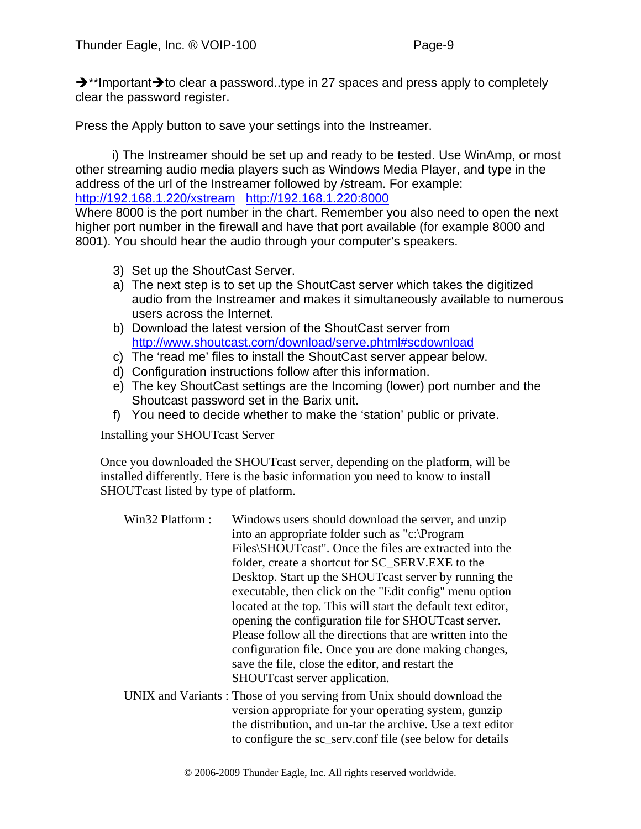$\rightarrow$ \*\*Important $\rightarrow$ to clear a password..type in 27 spaces and press apply to completely clear the password register.

Press the Apply button to save your settings into the Instreamer.

 i) The Instreamer should be set up and ready to be tested. Use WinAmp, or most other streaming audio media players such as Windows Media Player, and type in the address of the url of the Instreamer followed by /stream. For example: http://192.168.1.220/xstream http://192.168.1.220:8000

Where 8000 is the port number in the chart. Remember you also need to open the next higher port number in the firewall and have that port available (for example 8000 and 8001). You should hear the audio through your computer's speakers.

- 3) Set up the ShoutCast Server.
- a) The next step is to set up the ShoutCast server which takes the digitized audio from the Instreamer and makes it simultaneously available to numerous users across the Internet.
- b) Download the latest version of the ShoutCast server from http://www.shoutcast.com/download/serve.phtml#scdownload
- c) The 'read me' files to install the ShoutCast server appear below.
- d) Configuration instructions follow after this information.
- e) The key ShoutCast settings are the Incoming (lower) port number and the Shoutcast password set in the Barix unit.
- f) You need to decide whether to make the 'station' public or private.

Installing your SHOUTcast Server

Once you downloaded the SHOUTcast server, depending on the platform, will be installed differently. Here is the basic information you need to know to install SHOUTcast listed by type of platform.

| Win32 Platform: | Windows users should download the server, and unzip                   |
|-----------------|-----------------------------------------------------------------------|
|                 | into an appropriate folder such as "c:\Program                        |
|                 | Files\SHOUTcast". Once the files are extracted into the               |
|                 | folder, create a shortcut for SC_SERV.EXE to the                      |
|                 | Desktop. Start up the SHOUT cast server by running the                |
|                 | executable, then click on the "Edit config" menu option               |
|                 | located at the top. This will start the default text editor,          |
|                 | opening the configuration file for SHOUT cast server.                 |
|                 | Please follow all the directions that are written into the            |
|                 | configuration file. Once you are done making changes,                 |
|                 | save the file, close the editor, and restart the                      |
|                 | SHOUT cast server application.                                        |
|                 | UNIX and Variants: Those of you serving from Unix should download the |
|                 |                                                                       |

version appropriate for your operating system, gunzip the distribution, and un-tar the archive. Use a text editor to configure the sc\_serv.conf file (see below for details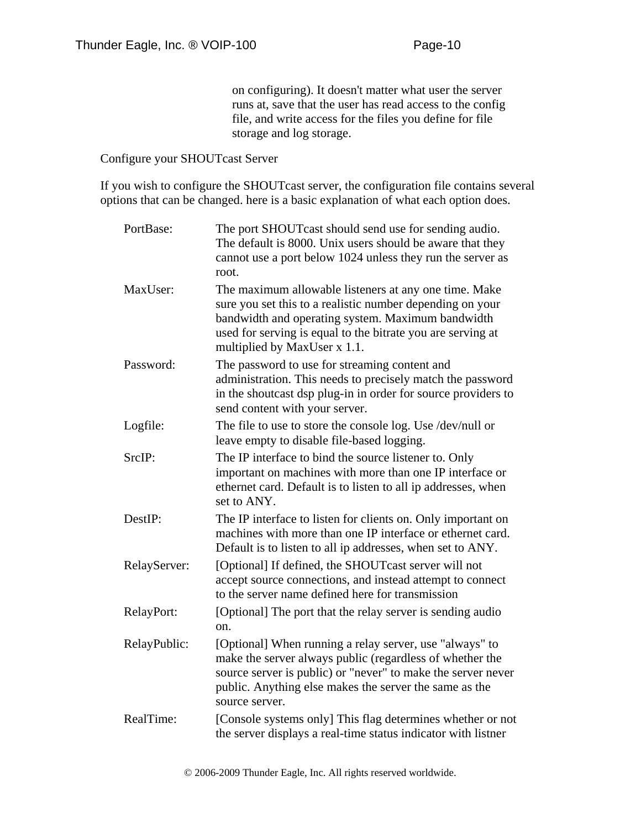on configuring). It doesn't matter what user the server runs at, save that the user has read access to the config file, and write access for the files you define for file storage and log storage.

### Configure your SHOUTcast Server

If you wish to configure the SHOUTcast server, the configuration file contains several options that can be changed. here is a basic explanation of what each option does.

| PortBase:    | The port SHOUT cast should send use for sending audio.<br>The default is 8000. Unix users should be aware that they<br>cannot use a port below 1024 unless they run the server as<br>root.                                                                             |
|--------------|------------------------------------------------------------------------------------------------------------------------------------------------------------------------------------------------------------------------------------------------------------------------|
| MaxUser:     | The maximum allowable listeners at any one time. Make<br>sure you set this to a realistic number depending on your<br>bandwidth and operating system. Maximum bandwidth<br>used for serving is equal to the bitrate you are serving at<br>multiplied by MaxUser x 1.1. |
| Password:    | The password to use for streaming content and<br>administration. This needs to precisely match the password<br>in the shoutcast dsp plug-in in order for source providers to<br>send content with your server.                                                         |
| Logfile:     | The file to use to store the console log. Use /dev/null or<br>leave empty to disable file-based logging.                                                                                                                                                               |
| SrcIP:       | The IP interface to bind the source listener to. Only<br>important on machines with more than one IP interface or<br>ethernet card. Default is to listen to all ip addresses, when<br>set to ANY.                                                                      |
| DestIP:      | The IP interface to listen for clients on. Only important on<br>machines with more than one IP interface or ethernet card.<br>Default is to listen to all ip addresses, when set to ANY.                                                                               |
| RelayServer: | [Optional] If defined, the SHOUT cast server will not<br>accept source connections, and instead attempt to connect<br>to the server name defined here for transmission                                                                                                 |
| RelayPort:   | [Optional] The port that the relay server is sending audio<br>on.                                                                                                                                                                                                      |
| RelayPublic: | [Optional] When running a relay server, use "always" to<br>make the server always public (regardless of whether the<br>source server is public) or "never" to make the server never<br>public. Anything else makes the server the same as the<br>source server.        |
| RealTime:    | [Console systems only] This flag determines whether or not<br>the server displays a real-time status indicator with listner                                                                                                                                            |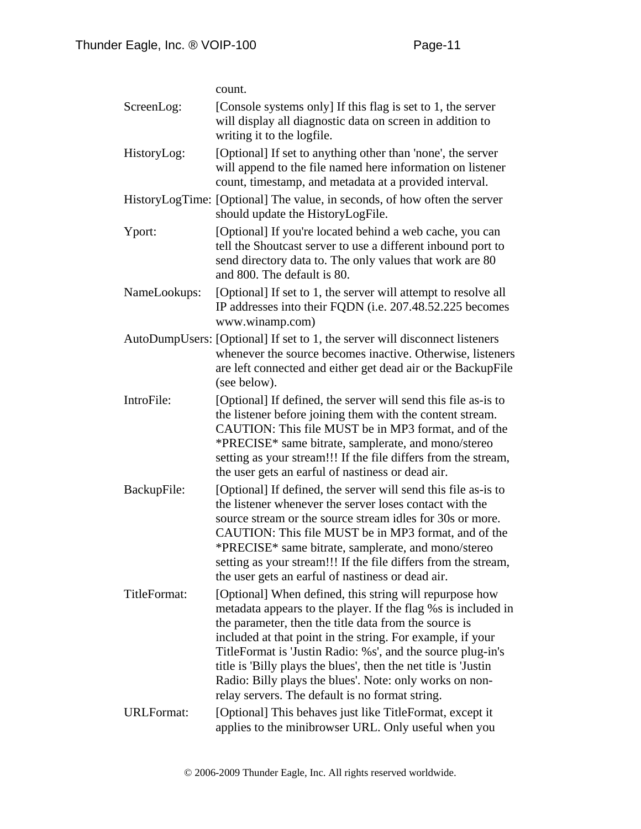|                   | count.                                                                                                                                                                                                                                                                                                                                                                                                                                                                                         |
|-------------------|------------------------------------------------------------------------------------------------------------------------------------------------------------------------------------------------------------------------------------------------------------------------------------------------------------------------------------------------------------------------------------------------------------------------------------------------------------------------------------------------|
| ScreenLog:        | [Console systems only] If this flag is set to 1, the server<br>will display all diagnostic data on screen in addition to<br>writing it to the logfile.                                                                                                                                                                                                                                                                                                                                         |
| HistoryLog:       | [Optional] If set to anything other than 'none', the server<br>will append to the file named here information on listener<br>count, timestamp, and metadata at a provided interval.                                                                                                                                                                                                                                                                                                            |
|                   | HistoryLogTime: [Optional] The value, in seconds, of how often the server<br>should update the HistoryLogFile.                                                                                                                                                                                                                                                                                                                                                                                 |
| Yport:            | [Optional] If you're located behind a web cache, you can<br>tell the Shoutcast server to use a different inbound port to<br>send directory data to. The only values that work are 80<br>and 800. The default is 80.                                                                                                                                                                                                                                                                            |
| NameLookups:      | [Optional] If set to 1, the server will attempt to resolve all<br>IP addresses into their FQDN (i.e. 207.48.52.225 becomes<br>www.winamp.com)                                                                                                                                                                                                                                                                                                                                                  |
|                   | AutoDumpUsers: [Optional] If set to 1, the server will disconnect listeners<br>whenever the source becomes inactive. Otherwise, listeners<br>are left connected and either get dead air or the BackupFile<br>(see below).                                                                                                                                                                                                                                                                      |
| IntroFile:        | [Optional] If defined, the server will send this file as-is to<br>the listener before joining them with the content stream.<br>CAUTION: This file MUST be in MP3 format, and of the<br>*PRECISE* same bitrate, samplerate, and mono/stereo<br>setting as your stream!!! If the file differs from the stream,<br>the user gets an earful of nastiness or dead air.                                                                                                                              |
| BackupFile:       | [Optional] If defined, the server will send this file as-is to<br>the listener whenever the server loses contact with the<br>source stream or the source stream idles for 30s or more.<br>CAUTION: This file MUST be in MP3 format, and of the<br>*PRECISE* same bitrate, samplerate, and mono/stereo<br>setting as your stream!!! If the file differs from the stream,<br>the user gets an earful of nastiness or dead air.                                                                   |
| TitleFormat:      | [Optional] When defined, this string will repurpose how<br>metadata appears to the player. If the flag % is included in<br>the parameter, then the title data from the source is<br>included at that point in the string. For example, if your<br>TitleFormat is 'Justin Radio: %s', and the source plug-in's<br>title is 'Billy plays the blues', then the net title is 'Justin<br>Radio: Billy plays the blues'. Note: only works on non-<br>relay servers. The default is no format string. |
| <b>URLFormat:</b> | [Optional] This behaves just like TitleFormat, except it<br>applies to the minibrowser URL. Only useful when you                                                                                                                                                                                                                                                                                                                                                                               |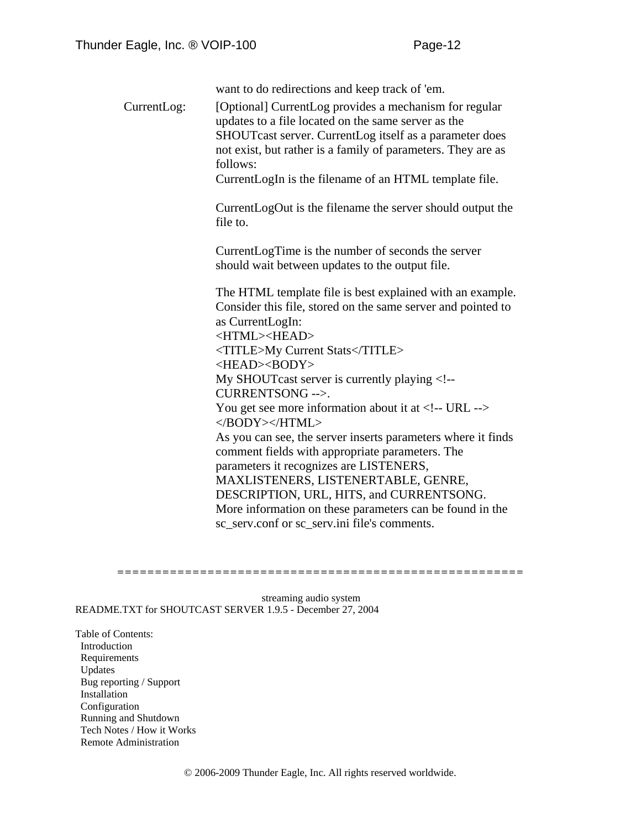|             | want to do redirections and keep track of 'em.                                                                                                                                                                                                       |
|-------------|------------------------------------------------------------------------------------------------------------------------------------------------------------------------------------------------------------------------------------------------------|
| CurrentLog: | [Optional] CurrentLog provides a mechanism for regular<br>updates to a file located on the same server as the<br>SHOUTcast server. CurrentLog itself as a parameter does<br>not exist, but rather is a family of parameters. They are as<br>follows: |
|             | CurrentLogIn is the filename of an HTML template file.                                                                                                                                                                                               |
|             | CurrentLogOut is the filename the server should output the<br>file to.                                                                                                                                                                               |
|             | CurrentLogTime is the number of seconds the server<br>should wait between updates to the output file.                                                                                                                                                |
|             | The HTML template file is best explained with an example.<br>Consider this file, stored on the same server and pointed to<br>as CurrentLogIn:                                                                                                        |
|             | <html><head></head></html>                                                                                                                                                                                                                           |
|             | <title>My Current Stats</title>                                                                                                                                                                                                                      |
|             | <head><body></body></head>                                                                                                                                                                                                                           |
|             | My SHOUT cast server is currently playing </td></tr><tr><td></td><td>CURRENTSONG .                                                                                                                                                                   |
|             | You get see more information about it at $\langle$ !-- URL --><br>                                                                                                                                                                                   |
|             | As you can see, the server inserts parameters where it finds                                                                                                                                                                                         |
|             | comment fields with appropriate parameters. The                                                                                                                                                                                                      |
|             | parameters it recognizes are LISTENERS,                                                                                                                                                                                                              |
|             | MAXLISTENERS, LISTENERTABLE, GENRE,                                                                                                                                                                                                                  |
|             | DESCRIPTION, URL, HITS, and CURRENTSONG.                                                                                                                                                                                                             |
|             | More information on these parameters can be found in the                                                                                                                                                                                             |
|             | sc_serv.conf or sc_serv.ini file's comments.                                                                                                                                                                                                         |

#### ======================================================

 streaming audio system README.TXT for SHOUTCAST SERVER 1.9.5 - December 27, 2004

Table of Contents: Introduction Requirements Updates Bug reporting / Support Installation Configuration Running and Shutdown Tech Notes / How it Works Remote Administration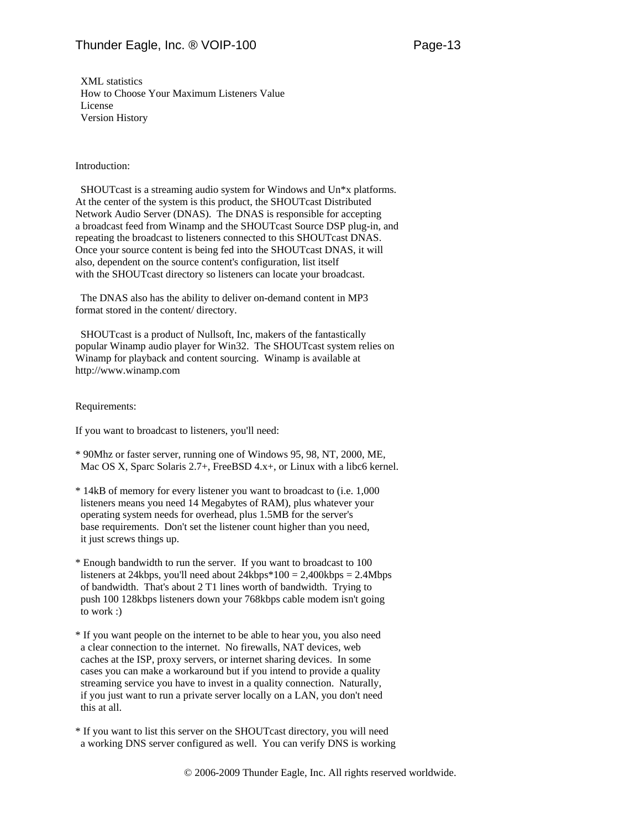XML statistics How to Choose Your Maximum Listeners Value License Version History

#### Introduction:

 SHOUTcast is a streaming audio system for Windows and Un\*x platforms. At the center of the system is this product, the SHOUTcast Distributed Network Audio Server (DNAS). The DNAS is responsible for accepting a broadcast feed from Winamp and the SHOUTcast Source DSP plug-in, and repeating the broadcast to listeners connected to this SHOUTcast DNAS. Once your source content is being fed into the SHOUTcast DNAS, it will also, dependent on the source content's configuration, list itself with the SHOUTcast directory so listeners can locate your broadcast.

 The DNAS also has the ability to deliver on-demand content in MP3 format stored in the content/ directory.

 SHOUTcast is a product of Nullsoft, Inc, makers of the fantastically popular Winamp audio player for Win32. The SHOUTcast system relies on Winamp for playback and content sourcing. Winamp is available at http://www.winamp.com

Requirements:

If you want to broadcast to listeners, you'll need:

- \* 90Mhz or faster server, running one of Windows 95, 98, NT, 2000, ME, Mac OS X, Sparc Solaris 2.7+, FreeBSD 4.x+, or Linux with a libc6 kernel.
- \* 14kB of memory for every listener you want to broadcast to (i.e. 1,000 listeners means you need 14 Megabytes of RAM), plus whatever your operating system needs for overhead, plus 1.5MB for the server's base requirements. Don't set the listener count higher than you need, it just screws things up.
- \* Enough bandwidth to run the server. If you want to broadcast to 100 listeners at 24kbps, you'll need about  $24kbps*100 = 2,400kbps = 2.4Mbps$  of bandwidth. That's about 2 T1 lines worth of bandwidth. Trying to push 100 128kbps listeners down your 768kbps cable modem isn't going to work :)
- \* If you want people on the internet to be able to hear you, you also need a clear connection to the internet. No firewalls, NAT devices, web caches at the ISP, proxy servers, or internet sharing devices. In some cases you can make a workaround but if you intend to provide a quality streaming service you have to invest in a quality connection. Naturally, if you just want to run a private server locally on a LAN, you don't need this at all.
- \* If you want to list this server on the SHOUTcast directory, you will need a working DNS server configured as well. You can verify DNS is working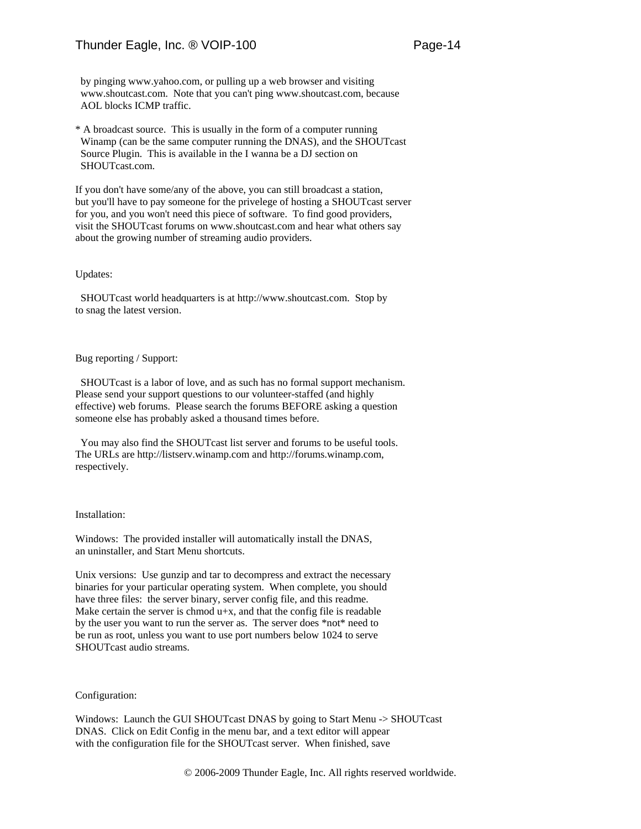by pinging www.yahoo.com, or pulling up a web browser and visiting www.shoutcast.com. Note that you can't ping www.shoutcast.com, because AOL blocks ICMP traffic.

\* A broadcast source. This is usually in the form of a computer running Winamp (can be the same computer running the DNAS), and the SHOUTcast Source Plugin. This is available in the I wanna be a DJ section on SHOUTcast.com.

If you don't have some/any of the above, you can still broadcast a station, but you'll have to pay someone for the privelege of hosting a SHOUTcast server for you, and you won't need this piece of software. To find good providers, visit the SHOUTcast forums on www.shoutcast.com and hear what others say about the growing number of streaming audio providers.

#### Updates:

 SHOUTcast world headquarters is at http://www.shoutcast.com. Stop by to snag the latest version.

#### Bug reporting / Support:

 SHOUTcast is a labor of love, and as such has no formal support mechanism. Please send your support questions to our volunteer-staffed (and highly effective) web forums. Please search the forums BEFORE asking a question someone else has probably asked a thousand times before.

 You may also find the SHOUTcast list server and forums to be useful tools. The URLs are http://listserv.winamp.com and http://forums.winamp.com, respectively.

#### Installation:

Windows: The provided installer will automatically install the DNAS, an uninstaller, and Start Menu shortcuts.

Unix versions: Use gunzip and tar to decompress and extract the necessary binaries for your particular operating system. When complete, you should have three files: the server binary, server config file, and this readme. Make certain the server is chmod  $u+x$ , and that the config file is readable by the user you want to run the server as. The server does \*not\* need to be run as root, unless you want to use port numbers below 1024 to serve SHOUTcast audio streams.

#### Configuration:

Windows: Launch the GUI SHOUTcast DNAS by going to Start Menu -> SHOUTcast DNAS. Click on Edit Config in the menu bar, and a text editor will appear with the configuration file for the SHOUTcast server. When finished, save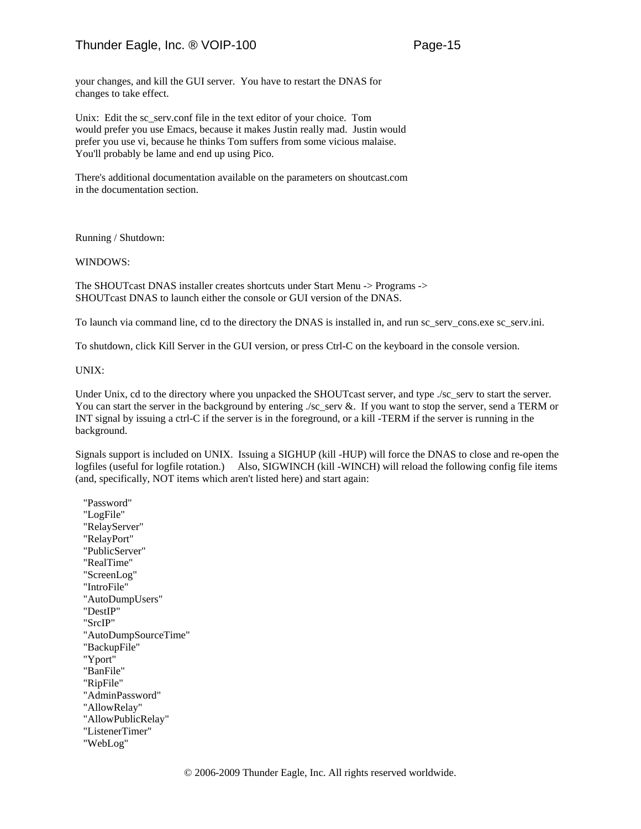your changes, and kill the GUI server. You have to restart the DNAS for changes to take effect.

Unix: Edit the sc\_serv.conf file in the text editor of your choice. Tom would prefer you use Emacs, because it makes Justin really mad. Justin would prefer you use vi, because he thinks Tom suffers from some vicious malaise. You'll probably be lame and end up using Pico.

There's additional documentation available on the parameters on shoutcast.com in the documentation section.

Running / Shutdown:

WINDOWS:

The SHOUTcast DNAS installer creates shortcuts under Start Menu -> Programs -> SHOUTcast DNAS to launch either the console or GUI version of the DNAS.

To launch via command line, cd to the directory the DNAS is installed in, and run sc\_serv\_cons.exe sc\_serv.ini.

To shutdown, click Kill Server in the GUI version, or press Ctrl-C on the keyboard in the console version.

UNIX:

Under Unix, cd to the directory where you unpacked the SHOUTcast server, and type ./sc\_serv to start the server. You can start the server in the background by entering ./sc\_serv &. If you want to stop the server, send a TERM or INT signal by issuing a ctrl-C if the server is in the foreground, or a kill -TERM if the server is running in the background.

Signals support is included on UNIX. Issuing a SIGHUP (kill -HUP) will force the DNAS to close and re-open the logfiles (useful for logfile rotation.) Also, SIGWINCH (kill -WINCH) will reload the following config file items (and, specifically, NOT items which aren't listed here) and start again:

 "Password" "LogFile" "RelayServer" "RelayPort" "PublicServer" "RealTime" "ScreenLog" "IntroFile" "AutoDumpUsers" "DestIP" "SrcIP" "AutoDumpSourceTime" "BackupFile" "Yport" "BanFile" "RipFile" "AdminPassword" "AllowRelay" "AllowPublicRelay" "ListenerTimer" "WebLog"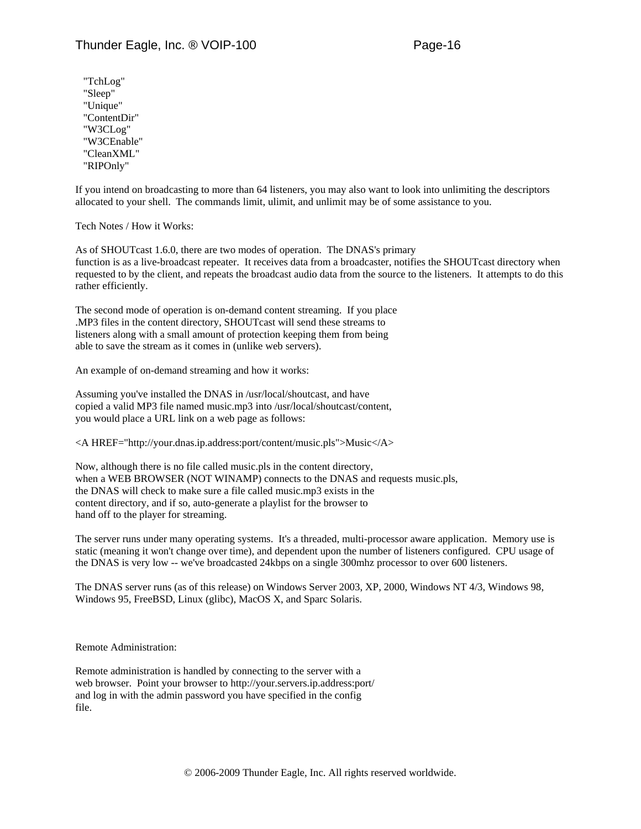"TchLog" "Sleep" "Unique" "ContentDir" "W3CLog" "W3CEnable" "CleanXML" "RIPOnly"

If you intend on broadcasting to more than 64 listeners, you may also want to look into unlimiting the descriptors allocated to your shell. The commands limit, ulimit, and unlimit may be of some assistance to you.

Tech Notes / How it Works:

As of SHOUTcast 1.6.0, there are two modes of operation. The DNAS's primary function is as a live-broadcast repeater. It receives data from a broadcaster, notifies the SHOUTcast directory when requested to by the client, and repeats the broadcast audio data from the source to the listeners. It attempts to do this rather efficiently.

The second mode of operation is on-demand content streaming. If you place .MP3 files in the content directory, SHOUTcast will send these streams to listeners along with a small amount of protection keeping them from being able to save the stream as it comes in (unlike web servers).

An example of on-demand streaming and how it works:

Assuming you've installed the DNAS in /usr/local/shoutcast, and have copied a valid MP3 file named music.mp3 into /usr/local/shoutcast/content, you would place a URL link on a web page as follows:

<A HREF="http://your.dnas.ip.address:port/content/music.pls">Music</A>

Now, although there is no file called music.pls in the content directory, when a WEB BROWSER (NOT WINAMP) connects to the DNAS and requests music.pls, the DNAS will check to make sure a file called music.mp3 exists in the content directory, and if so, auto-generate a playlist for the browser to hand off to the player for streaming.

The server runs under many operating systems. It's a threaded, multi-processor aware application. Memory use is static (meaning it won't change over time), and dependent upon the number of listeners configured. CPU usage of the DNAS is very low -- we've broadcasted 24kbps on a single 300mhz processor to over 600 listeners.

The DNAS server runs (as of this release) on Windows Server 2003, XP, 2000, Windows NT 4/3, Windows 98, Windows 95, FreeBSD, Linux (glibc), MacOS X, and Sparc Solaris.

Remote Administration:

Remote administration is handled by connecting to the server with a web browser. Point your browser to http://your.servers.ip.address:port/ and log in with the admin password you have specified in the config file.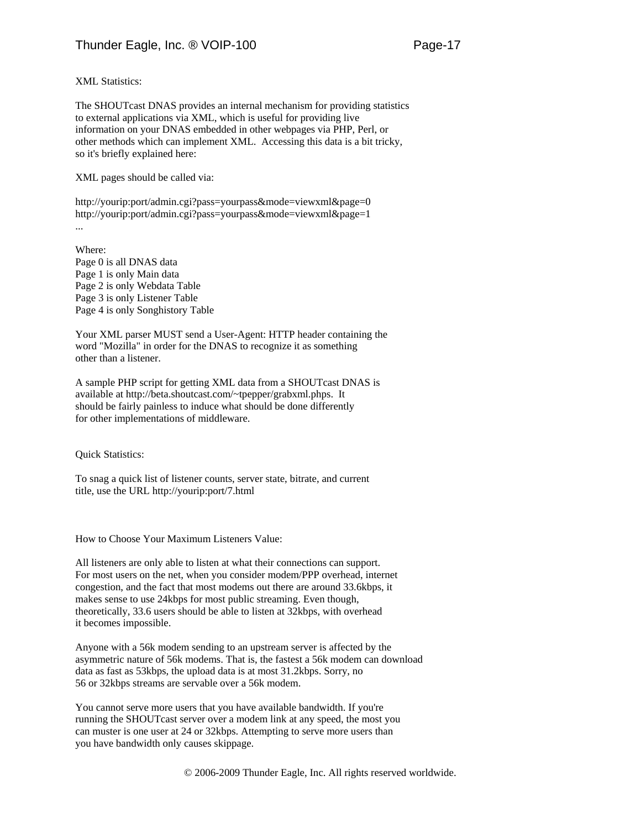XML Statistics:

The SHOUTcast DNAS provides an internal mechanism for providing statistics to external applications via XML, which is useful for providing live information on your DNAS embedded in other webpages via PHP, Perl, or other methods which can implement XML. Accessing this data is a bit tricky, so it's briefly explained here:

XML pages should be called via:

http://yourip:port/admin.cgi?pass=yourpass&mode=viewxml&page=0 http://yourip:port/admin.cgi?pass=yourpass&mode=viewxml&page=1 ...

Where: Page 0 is all DNAS data Page 1 is only Main data Page 2 is only Webdata Table Page 3 is only Listener Table Page 4 is only Songhistory Table

Your XML parser MUST send a User-Agent: HTTP header containing the word "Mozilla" in order for the DNAS to recognize it as something other than a listener.

A sample PHP script for getting XML data from a SHOUTcast DNAS is available at http://beta.shoutcast.com/~tpepper/grabxml.phps. It should be fairly painless to induce what should be done differently for other implementations of middleware.

Quick Statistics:

To snag a quick list of listener counts, server state, bitrate, and current title, use the URL http://yourip:port/7.html

How to Choose Your Maximum Listeners Value:

All listeners are only able to listen at what their connections can support. For most users on the net, when you consider modem/PPP overhead, internet congestion, and the fact that most modems out there are around 33.6kbps, it makes sense to use 24kbps for most public streaming. Even though, theoretically, 33.6 users should be able to listen at 32kbps, with overhead it becomes impossible.

Anyone with a 56k modem sending to an upstream server is affected by the asymmetric nature of 56k modems. That is, the fastest a 56k modem can download data as fast as 53kbps, the upload data is at most 31.2kbps. Sorry, no 56 or 32kbps streams are servable over a 56k modem.

You cannot serve more users that you have available bandwidth. If you're running the SHOUTcast server over a modem link at any speed, the most you can muster is one user at 24 or 32kbps. Attempting to serve more users than you have bandwidth only causes skippage.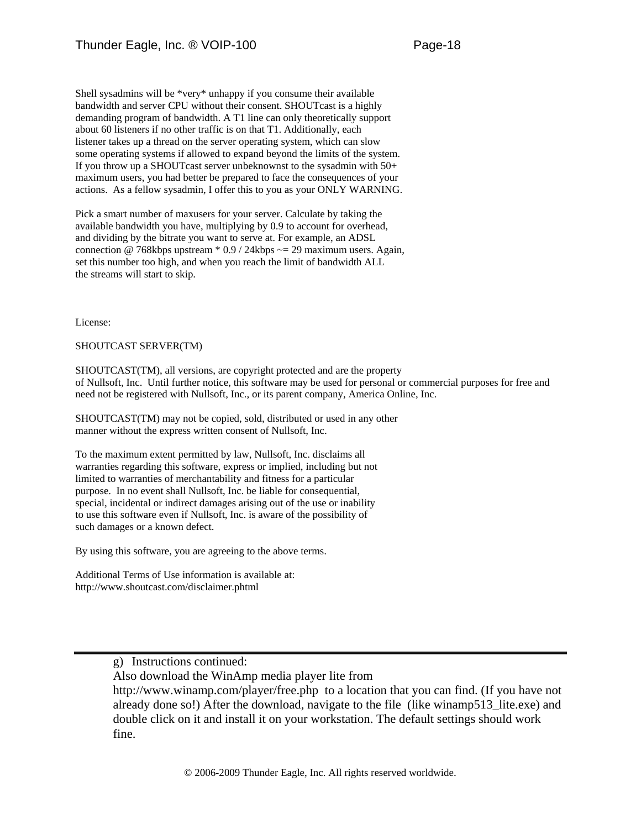Shell sysadmins will be \*very\* unhappy if you consume their available bandwidth and server CPU without their consent. SHOUTcast is a highly demanding program of bandwidth. A T1 line can only theoretically support about 60 listeners if no other traffic is on that T1. Additionally, each listener takes up a thread on the server operating system, which can slow some operating systems if allowed to expand beyond the limits of the system. If you throw up a SHOUTcast server unbeknownst to the sysadmin with 50+ maximum users, you had better be prepared to face the consequences of your actions. As a fellow sysadmin, I offer this to you as your ONLY WARNING.

Pick a smart number of maxusers for your server. Calculate by taking the available bandwidth you have, multiplying by 0.9 to account for overhead, and dividing by the bitrate you want to serve at. For example, an ADSL connection @ 768kbps upstream  $*$  0.9 / 24kbps  $\sim$  = 29 maximum users. Again, set this number too high, and when you reach the limit of bandwidth ALL the streams will start to skip.

License:

#### SHOUTCAST SERVER(TM)

SHOUTCAST(TM), all versions, are copyright protected and are the property of Nullsoft, Inc. Until further notice, this software may be used for personal or commercial purposes for free and need not be registered with Nullsoft, Inc., or its parent company, America Online, Inc.

SHOUTCAST(TM) may not be copied, sold, distributed or used in any other manner without the express written consent of Nullsoft, Inc.

To the maximum extent permitted by law, Nullsoft, Inc. disclaims all warranties regarding this software, express or implied, including but not limited to warranties of merchantability and fitness for a particular purpose. In no event shall Nullsoft, Inc. be liable for consequential, special, incidental or indirect damages arising out of the use or inability to use this software even if Nullsoft, Inc. is aware of the possibility of such damages or a known defect.

By using this software, you are agreeing to the above terms.

Additional Terms of Use information is available at: http://www.shoutcast.com/disclaimer.phtml

g) Instructions continued:

Also download the WinAmp media player lite from

http://www.winamp.com/player/free.php to a location that you can find. (If you have not already done so!) After the download, navigate to the file (like winamp513\_lite.exe) and double click on it and install it on your workstation. The default settings should work fine.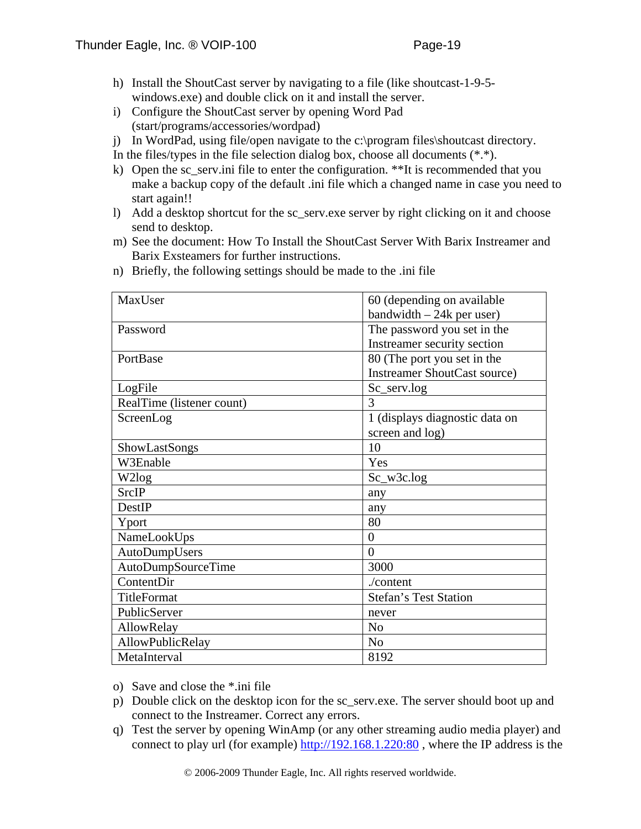- h) Install the ShoutCast server by navigating to a file (like shoutcast-1-9-5 windows.exe) and double click on it and install the server.
- i) Configure the ShoutCast server by opening Word Pad (start/programs/accessories/wordpad)
- j) In WordPad, using file/open navigate to the c:\program files\shoutcast directory.
- In the files/types in the file selection dialog box, choose all documents (\*.\*).
- k) Open the sc\_serv.ini file to enter the configuration. \*\*It is recommended that you make a backup copy of the default .ini file which a changed name in case you need to start again!!
- l) Add a desktop shortcut for the sc\_serv.exe server by right clicking on it and choose send to desktop.
- m) See the document: How To Install the ShoutCast Server With Barix Instreamer and Barix Exsteamers for further instructions.
- n) Briefly, the following settings should be made to the .ini file

| MaxUser                   | 60 (depending on available          |
|---------------------------|-------------------------------------|
|                           | bandwidth $-24k$ per user)          |
| Password                  | The password you set in the         |
|                           | Instreamer security section         |
| PortBase                  | 80 (The port you set in the         |
|                           | <b>Instreamer ShoutCast source)</b> |
| LogFile                   | Sc_serv.log                         |
| RealTime (listener count) | 3                                   |
| ScreenLog                 | 1 (displays diagnostic data on      |
|                           | screen and log)                     |
| <b>ShowLastSongs</b>      | 10                                  |
| W3Enable                  | Yes                                 |
| W2log                     | $Sc_{\sim}$ w3c.log                 |
| <b>SrcIP</b>              | any                                 |
| DestIP                    | any                                 |
| Yport                     | 80                                  |
| NameLookUps               | $\theta$                            |
| AutoDumpUsers             | $\theta$                            |
| AutoDumpSourceTime        | 3000                                |
| ContentDir                | ./content                           |
| <b>TitleFormat</b>        | <b>Stefan's Test Station</b>        |
| PublicServer              | never                               |
| AllowRelay                | N <sub>o</sub>                      |
| AllowPublicRelay          | N <sub>o</sub>                      |
| MetaInterval              | 8192                                |

o) Save and close the \*.ini file

- p) Double click on the desktop icon for the sc\_serv.exe. The server should boot up and connect to the Instreamer. Correct any errors.
- q) Test the server by opening WinAmp (or any other streaming audio media player) and connect to play url (for example) http://192.168.1.220:80 , where the IP address is the